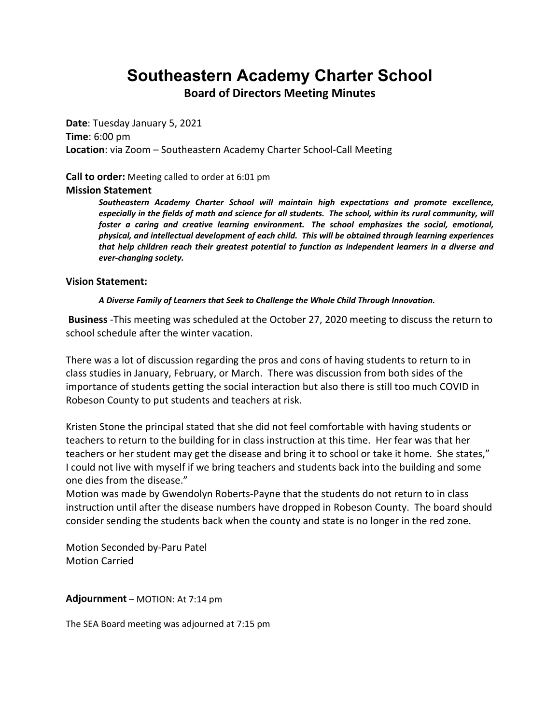# **Southeastern Academy Charter School**

**Board of Directors Meeting Minutes**

**Date**: Tuesday January 5, 2021 **Time**: 6:00 pm **Location**: via Zoom – Southeastern Academy Charter School-Call Meeting

### **Call to order:** Meeting called to order at 6:01 pm

#### **Mission Statement**

*Southeastern Academy Charter School will maintain high expectations and promote excellence,*  especially in the fields of math and science for all students. The school, within its rural community, will *foster a caring and creative learning environment. The school emphasizes the social, emotional, physical, and intellectual development of each child. This will be obtained through learning experiences that help children reach their greatest potential to function as independent learners in a diverse and ever-changing society.*

### **Vision Statement:**

#### *A Diverse Family of Learners that Seek to Challenge the Whole Child Through Innovation.*

 **Business** -This meeting was scheduled at the October 27, 2020 meeting to discuss the return to school schedule after the winter vacation.

There was a lot of discussion regarding the pros and cons of having students to return to in class studies in January, February, or March. There was discussion from both sides of the importance of students getting the social interaction but also there is still too much COVID in Robeson County to put students and teachers at risk.

Kristen Stone the principal stated that she did not feel comfortable with having students or teachers to return to the building for in class instruction at this time. Her fear was that her teachers or her student may get the disease and bring it to school or take it home. She states," I could not live with myself if we bring teachers and students back into the building and some one dies from the disease."

Motion was made by Gwendolyn Roberts-Payne that the students do not return to in class instruction until after the disease numbers have dropped in Robeson County. The board should consider sending the students back when the county and state is no longer in the red zone.

Motion Seconded by-Paru Patel Motion Carried

**Adjournment** – MOTION: At 7:14 pm

The SEA Board meeting was adjourned at 7:15 pm